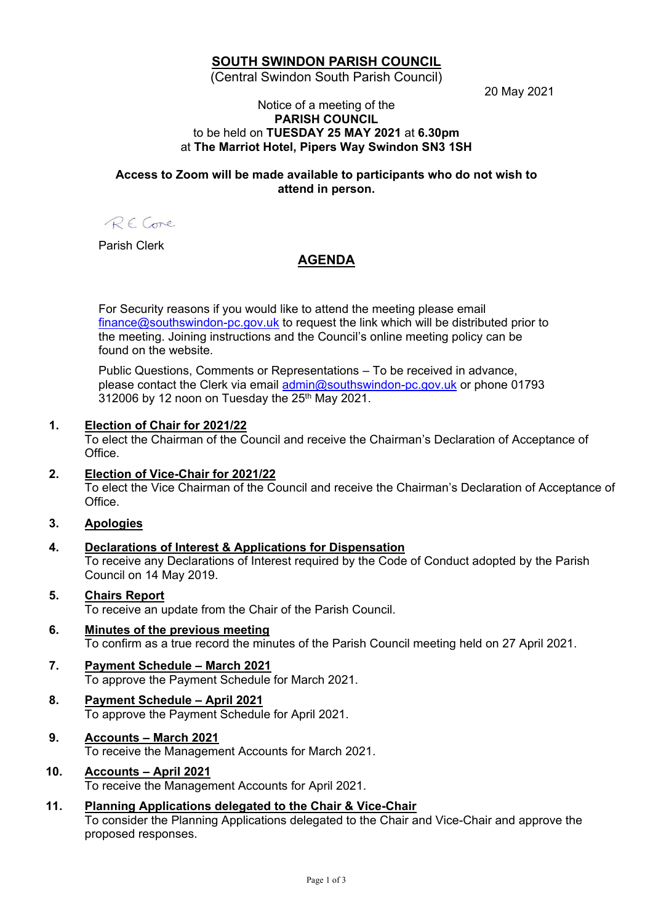## **SOUTH SWINDON PARISH COUNCIL**

(Central Swindon South Parish Council)

20 May 2021

#### Notice of a meeting of the **PARISH COUNCIL** to be held on **TUESDAY 25 MAY 2021** at **6.30pm** at **The Marriot Hotel, Pipers Way Swindon SN3 1SH**

### **Access to Zoom will be made available to participants who do not wish to attend in person.**

RE Come

Parish Clerk

# **AGENDA**

For Security reasons if you would like to attend the meeting please email [finance@southswindon-pc.gov.uk](mailto:finance@southswindon-pc.gov.uk) to request the link which will be distributed prior to the meeting. Joining instructions and the Council's online meeting policy can be found on the website.

Public Questions, Comments or Representations – To be received in advance, please contact the Clerk via email [admin@southswindon-pc.gov.uk](mailto:admin@southswindon-pc.gov.uk) or phone 01793 312006 by 12 noon on Tuesday the 25<sup>th</sup> May 2021.

### **1. Election of Chair for 2021/22**

To elect the Chairman of the Council and receive the Chairman's Declaration of Acceptance of Office.

### **2. Election of Vice-Chair for 2021/22**

To elect the Vice Chairman of the Council and receive the Chairman's Declaration of Acceptance of **Office** 

## **3. Apologies**

#### **4. Declarations of Interest & Applications for Dispensation** To receive any Declarations of Interest required by the Code of Conduct adopted by the Parish Council on 14 May 2019.

- **5. Chairs Report** To receive an update from the Chair of the Parish Council.
- **6. Minutes of the previous meeting** To confirm as a true record the minutes of the Parish Council meeting held on 27 April 2021.

#### **7. Payment Schedule – March 2021** To approve the Payment Schedule for March 2021.

**8. Payment Schedule – April 2021** To approve the Payment Schedule for April 2021.

# **9. Accounts – March 2021**

To receive the Management Accounts for March 2021.

# **10. Accounts – April 2021**

To receive the Management Accounts for April 2021.

## **11. Planning Applications delegated to the Chair & Vice-Chair**

To consider the Planning Applications delegated to the Chair and Vice-Chair and approve the proposed responses.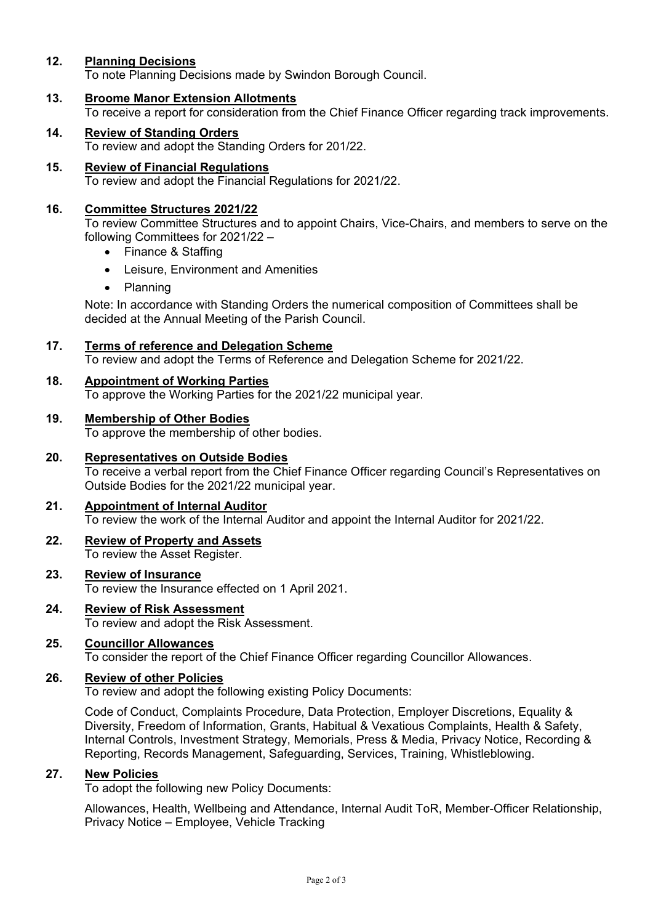## **12. Planning Decisions**

To note Planning Decisions made by Swindon Borough Council.

**13. Broome Manor Extension Allotments**

To receive a report for consideration from the Chief Finance Officer regarding track improvements.

- **14. Review of Standing Orders** To review and adopt the Standing Orders for 201/22.
- **15. Review of Financial Regulations** To review and adopt the Financial Regulations for 2021/22.

#### **16. Committee Structures 2021/22**

To review Committee Structures and to appoint Chairs, Vice-Chairs, and members to serve on the following Committees for 2021/22 –

- Finance & Staffing
- Leisure, Environment and Amenities
- Planning

Note: In accordance with Standing Orders the numerical composition of Committees shall be decided at the Annual Meeting of the Parish Council.

#### **17. Terms of reference and Delegation Scheme**

To review and adopt the Terms of Reference and Delegation Scheme for 2021/22.

#### **18. Appointment of Working Parties**

To approve the Working Parties for the 2021/22 municipal year.

#### **19. Membership of Other Bodies**

To approve the membership of other bodies.

#### **20. Representatives on Outside Bodies**

To receive a verbal report from the Chief Finance Officer regarding Council's Representatives on Outside Bodies for the 2021/22 municipal year.

#### **21. Appointment of Internal Auditor** To review the work of the Internal Auditor and appoint the Internal Auditor for 2021/22.

#### **22. Review of Property and Assets** To review the Asset Register.

#### **23. Review of Insurance** To review the Insurance effected on 1 April 2021.

# **24. Review of Risk Assessment**

To review and adopt the Risk Assessment.

### **25. Councillor Allowances**

To consider the report of the Chief Finance Officer regarding Councillor Allowances.

## **26. Review of other Policies**

To review and adopt the following existing Policy Documents:

Code of Conduct, Complaints Procedure, Data Protection, Employer Discretions, Equality & Diversity, Freedom of Information, Grants, Habitual & Vexatious Complaints, Health & Safety, Internal Controls, Investment Strategy, Memorials, Press & Media, Privacy Notice, Recording & Reporting, Records Management, Safeguarding, Services, Training, Whistleblowing.

#### **27. New Policies**

To adopt the following new Policy Documents:

Allowances, Health, Wellbeing and Attendance, Internal Audit ToR, Member-Officer Relationship, Privacy Notice – Employee, Vehicle Tracking